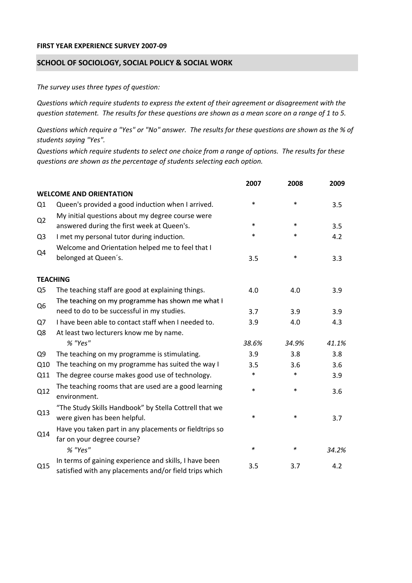## **FIRST YEAR EXPERIENCE SURVEY 2007‐09**

## **SCHOOL OF SOCIOLOGY, SOCIAL POLICY & SOCIAL WORK**

*The survey uses three types of question:*

*Questions which require students to express the extent of their agreement or disagreement with the* question statement. The results for these questions are shown as a mean score on a range of 1 to 5.

Questions which require a "Yes" or "No" answer. The results for these questions are shown as the % of *students saying "Yes".*

Questions which require students to select one choice from a range of options. The results for these *questions are shown as the percentage of students selecting each option.*

|                |                                                                                                                  | 2007   | 2008   | 2009  |
|----------------|------------------------------------------------------------------------------------------------------------------|--------|--------|-------|
|                | <b>WELCOME AND ORIENTATION</b>                                                                                   |        |        |       |
| Q1             | Queen's provided a good induction when I arrived.                                                                | $\ast$ | $\ast$ | 3.5   |
| Q2             | My initial questions about my degree course were<br>answered during the first week at Queen's.                   | $\ast$ | $\ast$ | 3.5   |
| Q <sub>3</sub> | I met my personal tutor during induction.                                                                        | *      | $\ast$ | 4.2   |
|                | Welcome and Orientation helped me to feel that I                                                                 |        |        |       |
| Q4             | belonged at Queen's.                                                                                             | 3.5    | $\ast$ | 3.3   |
|                | <b>TEACHING</b>                                                                                                  |        |        |       |
| Q <sub>5</sub> | The teaching staff are good at explaining things.                                                                | 4.0    | 4.0    | 3.9   |
| Q <sub>6</sub> | The teaching on my programme has shown me what I                                                                 |        |        |       |
|                | need to do to be successful in my studies.                                                                       | 3.7    | 3.9    | 3.9   |
| Q7             | I have been able to contact staff when I needed to.                                                              | 3.9    | 4.0    | 4.3   |
| Q8             | At least two lecturers know me by name.                                                                          |        |        |       |
|                | % "Yes"                                                                                                          | 38.6%  | 34.9%  | 41.1% |
| Q <sub>9</sub> | The teaching on my programme is stimulating.                                                                     | 3.9    | 3.8    | 3.8   |
| Q10            | The teaching on my programme has suited the way I                                                                | 3.5    | 3.6    | 3.6   |
| Q11            | The degree course makes good use of technology.                                                                  | *      | $\ast$ | 3.9   |
| Q12            | The teaching rooms that are used are a good learning<br>environment.                                             | $\ast$ | $\ast$ | 3.6   |
| Q13            | "The Study Skills Handbook" by Stella Cottrell that we<br>were given has been helpful.                           | *      | $\ast$ | 3.7   |
| Q14            | Have you taken part in any placements or fieldtrips so<br>far on your degree course?                             |        |        |       |
|                | % "Yes"                                                                                                          | $\ast$ | $\ast$ | 34.2% |
| Q15            | In terms of gaining experience and skills, I have been<br>satisfied with any placements and/or field trips which | 3.5    | 3.7    | 4.2   |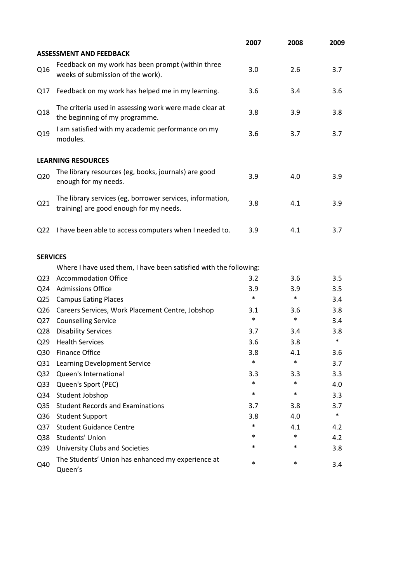|                 |                                                                                                      | 2007   | 2008   | 2009   |
|-----------------|------------------------------------------------------------------------------------------------------|--------|--------|--------|
|                 | <b>ASSESSMENT AND FEEDBACK</b>                                                                       |        |        |        |
| Q16             | Feedback on my work has been prompt (within three<br>weeks of submission of the work).               | 3.0    | 2.6    | 3.7    |
| Q17             | Feedback on my work has helped me in my learning.                                                    | 3.6    | 3.4    | 3.6    |
| Q18             | The criteria used in assessing work were made clear at<br>the beginning of my programme.             | 3.8    | 3.9    | 3.8    |
| Q19             | I am satisfied with my academic performance on my<br>modules.                                        | 3.6    | 3.7    | 3.7    |
|                 | <b>LEARNING RESOURCES</b>                                                                            |        |        |        |
| Q <sub>20</sub> | The library resources (eg, books, journals) are good<br>enough for my needs.                         | 3.9    | 4.0    | 3.9    |
| Q21             | The library services (eg, borrower services, information,<br>training) are good enough for my needs. | 3.8    | 4.1    | 3.9    |
| Q <sub>22</sub> | I have been able to access computers when I needed to.                                               | 3.9    | 4.1    | 3.7    |
| <b>SERVICES</b> |                                                                                                      |        |        |        |
|                 | Where I have used them, I have been satisfied with the following:                                    |        |        |        |
| Q <sub>23</sub> | <b>Accommodation Office</b>                                                                          | 3.2    | 3.6    | 3.5    |
| Q24             | <b>Admissions Office</b>                                                                             | 3.9    | 3.9    | 3.5    |
| Q <sub>25</sub> | <b>Campus Eating Places</b>                                                                          | $\ast$ | $\ast$ | 3.4    |
| Q <sub>26</sub> | Careers Services, Work Placement Centre, Jobshop                                                     | 3.1    | 3.6    | 3.8    |
| Q27             | <b>Counselling Service</b>                                                                           | $\ast$ | $\ast$ | 3.4    |
| Q <sub>28</sub> | <b>Disability Services</b>                                                                           | 3.7    | 3.4    | 3.8    |
| Q <sub>29</sub> | <b>Health Services</b>                                                                               | 3.6    | 3.8    | $\ast$ |
| Q30             | <b>Finance Office</b>                                                                                | 3.8    | 4.1    | 3.6    |
| Q <sub>31</sub> | Learning Development Service                                                                         | $\ast$ | $\ast$ | 3.7    |
| Q <sub>32</sub> | Queen's International                                                                                | 3.3    | 3.3    | 3.3    |
| Q <sub>33</sub> | Queen's Sport (PEC)                                                                                  | $\ast$ | $\ast$ | 4.0    |
| Q34             | Student Jobshop                                                                                      | $\ast$ | $\ast$ | 3.3    |
| Q <sub>35</sub> | <b>Student Records and Examinations</b>                                                              | 3.7    | 3.8    | 3.7    |
| Q36             | <b>Student Support</b>                                                                               | 3.8    | 4.0    | $\ast$ |
| Q <sub>37</sub> | <b>Student Guidance Centre</b>                                                                       | $\ast$ | 4.1    | 4.2    |
| Q38             | <b>Students' Union</b>                                                                               | *      | $\ast$ | 4.2    |
| Q39             | University Clubs and Societies                                                                       | *      | $\ast$ | 3.8    |
| Q40             | The Students' Union has enhanced my experience at<br>Queen's                                         | $\ast$ | $\ast$ | 3.4    |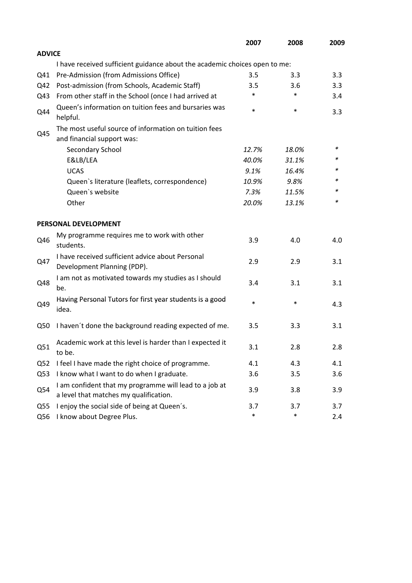|                 |                                                                                                  | 2007   | 2008   | 2009 |
|-----------------|--------------------------------------------------------------------------------------------------|--------|--------|------|
| <b>ADVICE</b>   |                                                                                                  |        |        |      |
|                 | I have received sufficient guidance about the academic choices open to me:                       |        |        |      |
| Q41             | Pre-Admission (from Admissions Office)                                                           | 3.5    | 3.3    | 3.3  |
| Q42             | Post-admission (from Schools, Academic Staff)                                                    | 3.5    | 3.6    | 3.3  |
| Q43             | From other staff in the School (once I had arrived at                                            | *      | $\ast$ | 3.4  |
| Q44             | Queen's information on tuition fees and bursaries was<br>helpful.                                | $\ast$ | $\ast$ | 3.3  |
|                 | The most useful source of information on tuition fees                                            |        |        |      |
| Q45             | and financial support was:                                                                       |        |        |      |
|                 | Secondary School                                                                                 | 12.7%  | 18.0%  | ∗    |
|                 | E&LB/LEA                                                                                         | 40.0%  | 31.1%  | *    |
|                 | <b>UCAS</b>                                                                                      | 9.1%   | 16.4%  |      |
|                 | Queen's literature (leaflets, correspondence)                                                    | 10.9%  | 9.8%   | *    |
|                 | Queen's website                                                                                  | 7.3%   | 11.5%  | *    |
|                 | Other                                                                                            | 20.0%  | 13.1%  | *    |
|                 | PERSONAL DEVELOPMENT                                                                             |        |        |      |
| Q46             | My programme requires me to work with other<br>students.                                         | 3.9    | 4.0    | 4.0  |
| Q47             | I have received sufficient advice about Personal<br>Development Planning (PDP).                  | 2.9    | 2.9    | 3.1  |
| Q48             | I am not as motivated towards my studies as I should<br>be.                                      | 3.4    | 3.1    | 3.1  |
| Q49             | Having Personal Tutors for first year students is a good<br>idea.                                | $\ast$ | $\ast$ | 4.3  |
| Q50             | I haven't done the background reading expected of me.                                            | 3.5    | 3.3    | 3.1  |
| Q51             | Academic work at this level is harder than I expected it<br>to be.                               | 3.1    | 2.8    | 2.8  |
| Q <sub>52</sub> | I feel I have made the right choice of programme.                                                | 4.1    | 4.3    | 4.1  |
| Q53             | I know what I want to do when I graduate.                                                        | 3.6    | 3.5    | 3.6  |
| Q54             | I am confident that my programme will lead to a job at<br>a level that matches my qualification. | 3.9    | 3.8    | 3.9  |
| Q <sub>55</sub> | I enjoy the social side of being at Queen's.                                                     | 3.7    | 3.7    | 3.7  |
| Q56             | I know about Degree Plus.                                                                        | $\ast$ | $\ast$ | 2.4  |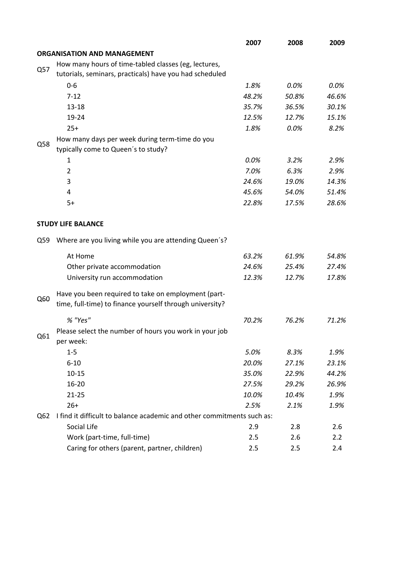|     |                                                                        | 2007  | 2008  | 2009  |  |
|-----|------------------------------------------------------------------------|-------|-------|-------|--|
|     | <b>ORGANISATION AND MANAGEMENT</b>                                     |       |       |       |  |
|     | How many hours of time-tabled classes (eg, lectures,                   |       |       |       |  |
| Q57 | tutorials, seminars, practicals) have you had scheduled                |       |       |       |  |
|     | $0-6$                                                                  | 1.8%  | 0.0%  | 0.0%  |  |
|     | $7 - 12$                                                               | 48.2% | 50.8% | 46.6% |  |
|     | $13 - 18$                                                              | 35.7% | 36.5% | 30.1% |  |
|     | 19-24                                                                  | 12.5% | 12.7% | 15.1% |  |
|     | $25+$                                                                  | 1.8%  | 0.0%  | 8.2%  |  |
|     | How many days per week during term-time do you                         |       |       |       |  |
| Q58 | typically come to Queen's to study?                                    |       |       |       |  |
|     | 1                                                                      | 0.0%  | 3.2%  | 2.9%  |  |
|     | $\overline{2}$                                                         | 7.0%  | 6.3%  | 2.9%  |  |
|     | 3                                                                      | 24.6% | 19.0% | 14.3% |  |
|     | 4                                                                      | 45.6% | 54.0% | 51.4% |  |
|     | $5+$                                                                   | 22.8% | 17.5% | 28.6% |  |
|     |                                                                        |       |       |       |  |
|     | <b>STUDY LIFE BALANCE</b>                                              |       |       |       |  |
| Q59 | Where are you living while you are attending Queen's?                  |       |       |       |  |
|     | At Home                                                                | 63.2% | 61.9% | 54.8% |  |
|     | Other private accommodation                                            | 24.6% | 25.4% | 27.4% |  |
|     | University run accommodation                                           | 12.3% | 12.7% | 17.8% |  |
|     | Have you been required to take on employment (part-                    |       |       |       |  |
| Q60 | time, full-time) to finance yourself through university?               |       |       |       |  |
|     | % "Yes"                                                                | 70.2% | 76.2% | 71.2% |  |
| Q61 | Please select the number of hours you work in your job                 |       |       |       |  |
|     | per week:                                                              |       |       |       |  |
|     | $1 - 5$                                                                | 5.0%  | 8.3%  | 1.9%  |  |
|     | $6 - 10$                                                               | 20.0% | 27.1% | 23.1% |  |
|     | $10 - 15$                                                              | 35.0% | 22.9% | 44.2% |  |
|     | 16-20                                                                  | 27.5% | 29.2% | 26.9% |  |
|     | $21 - 25$                                                              | 10.0% | 10.4% | 1.9%  |  |
|     | $26+$                                                                  | 2.5%  | 2.1%  | 1.9%  |  |
| Q62 | I find it difficult to balance academic and other commitments such as: |       |       |       |  |
|     | Social Life                                                            | 2.9   | 2.8   | 2.6   |  |
|     | Work (part-time, full-time)                                            | 2.5   | 2.6   | 2.2   |  |
|     | Caring for others (parent, partner, children)                          | 2.5   | 2.5   | 2.4   |  |